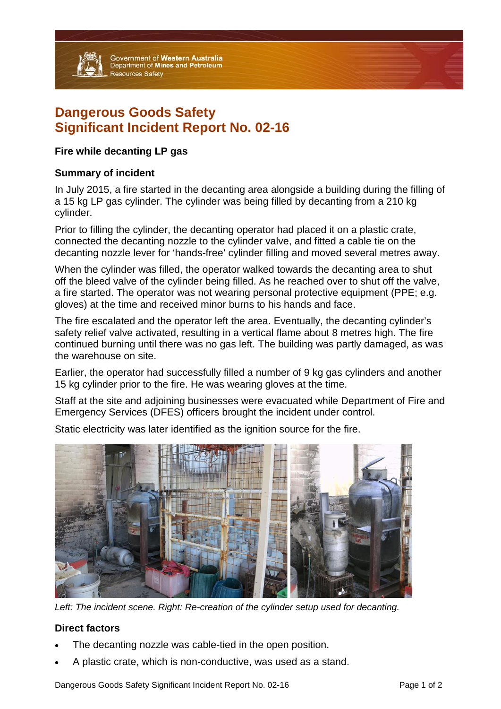

Government of Western Australia<br>Department of Mines and Petroleum **Resources Safety** 

# **Dangerous Goods Safety Significant Incident Report No. 02-16**

## **Fire while decanting LP gas**

## **Summary of incident**

In July 2015, a fire started in the decanting area alongside a building during the filling of a 15 kg LP gas cylinder. The cylinder was being filled by decanting from a 210 kg cylinder.

Prior to filling the cylinder, the decanting operator had placed it on a plastic crate, connected the decanting nozzle to the cylinder valve, and fitted a cable tie on the decanting nozzle lever for 'hands-free' cylinder filling and moved several metres away.

When the cylinder was filled, the operator walked towards the decanting area to shut off the bleed valve of the cylinder being filled. As he reached over to shut off the valve, a fire started. The operator was not wearing personal protective equipment (PPE; e.g. gloves) at the time and received minor burns to his hands and face.

The fire escalated and the operator left the area. Eventually, the decanting cylinder's safety relief valve activated, resulting in a vertical flame about 8 metres high. The fire continued burning until there was no gas left. The building was partly damaged, as was the warehouse on site.

Earlier, the operator had successfully filled a number of 9 kg gas cylinders and another 15 kg cylinder prior to the fire. He was wearing gloves at the time.

Staff at the site and adjoining businesses were evacuated while Department of Fire and Emergency Services (DFES) officers brought the incident under control.

Static electricity was later identified as the ignition source for the fire.



*Left: The incident scene. Right: Re-creation of the cylinder setup used for decanting.* 

## **Direct factors**

- The decanting nozzle was cable-tied in the open position.
- A plastic crate, which is non-conductive, was used as a stand.

Dangerous Goods Safety Significant Incident Report No. 02-16 Page 1 of 2